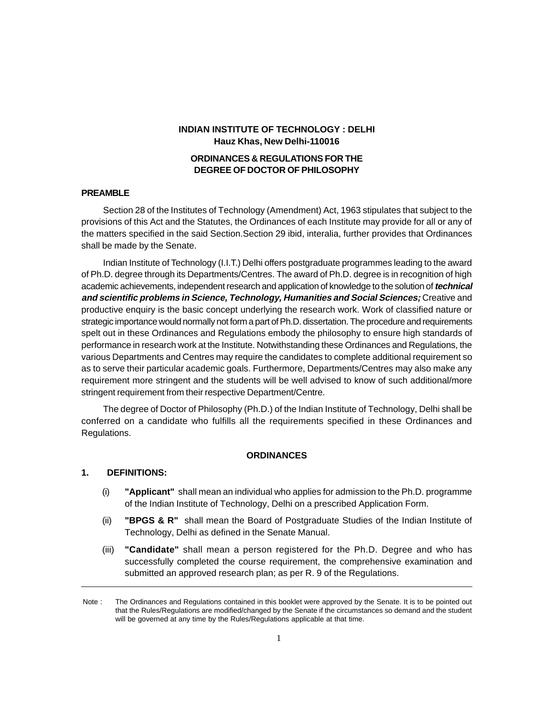# **INDIAN INSTITUTE OF TECHNOLOGY : DELHI Hauz Khas, New Delhi-110016**

# **ORDINANCES & REGULATIONS FOR THE DEGREE OF DOCTOR OF PHILOSOPHY**

#### **PREAMBLE**

Section 28 of the Institutes of Technology (Amendment) Act, 1963 stipulates that subject to the provisions of this Act and the Statutes, the Ordinances of each Institute may provide for all or any of the matters specified in the said Section.Section 29 ibid, interalia, further provides that Ordinances shall be made by the Senate.

Indian Institute of Technology (I.I.T.) Delhi offers postgraduate programmes leading to the award of Ph.D. degree through its Departments/Centres. The award of Ph.D. degree is in recognition of high academic achievements, independent research and application of knowledge to the solution of **technical and scientific problems in Science, Technology, Humanities and Social Sciences;** Creative and productive enquiry is the basic concept underlying the research work. Work of classified nature or strategic importance would normally not form a part of Ph.D. dissertation. The procedure and requirements spelt out in these Ordinances and Regulations embody the philosophy to ensure high standards of performance in research work at the Institute. Notwithstanding these Ordinances and Regulations, the various Departments and Centres may require the candidates to complete additional requirement so as to serve their particular academic goals. Furthermore, Departments/Centres may also make any requirement more stringent and the students will be well advised to know of such additional/more stringent requirement from their respective Department/Centre.

The degree of Doctor of Philosophy (Ph.D.) of the Indian Institute of Technology, Delhi shall be conferred on a candidate who fulfills all the requirements specified in these Ordinances and Regulations.

# **ORDINANCES**

# **1. DEFINITIONS:**

- (i) **"Applicant"** shall mean an individual who applies for admission to the Ph.D. programme of the Indian Institute of Technology, Delhi on a prescribed Application Form.
- (ii) **"BPGS & R"** shall mean the Board of Postgraduate Studies of the Indian Institute of Technology, Delhi as defined in the Senate Manual.
- (iii) **"Candidate"** shall mean a person registered for the Ph.D. Degree and who has successfully completed the course requirement, the comprehensive examination and submitted an approved research plan; as per R. 9 of the Regulations.

Note : The Ordinances and Regulations contained in this booklet were approved by the Senate. It is to be pointed out that the Rules/Regulations are modified/changed by the Senate if the circumstances so demand and the student will be governed at any time by the Rules/Regulations applicable at that time.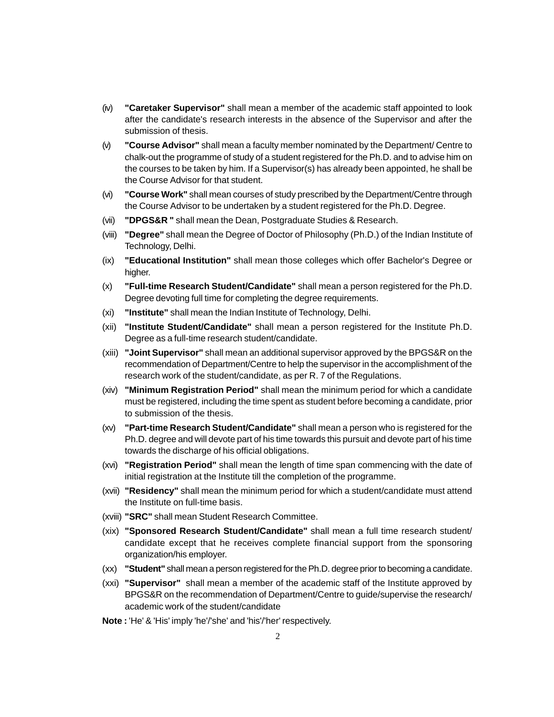- (iv) **"Caretaker Supervisor"** shall mean a member of the academic staff appointed to look after the candidate's research interests in the absence of the Supervisor and after the submission of thesis.
- (v) **"Course Advisor"** shall mean a faculty member nominated by the Department/ Centre to chalk-out the programme of study of a student registered for the Ph.D. and to advise him on the courses to be taken by him. If a Supervisor(s) has already been appointed, he shall be the Course Advisor for that student.
- (vi) **"Course Work"** shall mean courses of study prescribed by the Department/Centre through the Course Advisor to be undertaken by a student registered for the Ph.D. Degree.
- (vii) **"DPGS&R "** shall mean the Dean, Postgraduate Studies & Research.
- (viii) **"Degree"** shall mean the Degree of Doctor of Philosophy (Ph.D.) of the Indian Institute of Technology, Delhi.
- (ix) **"Educational Institution"** shall mean those colleges which offer Bachelor's Degree or higher.
- (x) **"Full-time Research Student/Candidate"** shall mean a person registered for the Ph.D. Degree devoting full time for completing the degree requirements.
- (xi) **"Institute"** shall mean the Indian Institute of Technology, Delhi.
- (xii) **"Institute Student/Candidate"** shall mean a person registered for the Institute Ph.D. Degree as a full-time research student/candidate.
- (xiii) **"Joint Supervisor"** shall mean an additional supervisor approved by the BPGS&R on the recommendation of Department/Centre to help the supervisor in the accomplishment of the research work of the student/candidate, as per R. 7 of the Regulations.
- (xiv) **"Minimum Registration Period"** shall mean the minimum period for which a candidate must be registered, including the time spent as student before becoming a candidate, prior to submission of the thesis.
- (xv) **"Part-time Research Student/Candidate"** shall mean a person who is registered for the Ph.D. degree and will devote part of his time towards this pursuit and devote part of his time towards the discharge of his official obligations.
- (xvi) **"Registration Period"** shall mean the length of time span commencing with the date of initial registration at the Institute till the completion of the programme.
- (xvii) **"Residency"** shall mean the minimum period for which a student/candidate must attend the Institute on full-time basis.
- (xviii) **"SRC"** shall mean Student Research Committee.
- (xix) **"Sponsored Research Student/Candidate"** shall mean a full time research student/ candidate except that he receives complete financial support from the sponsoring organization/his employer.
- (xx) **"Student"** shall mean a person registered for the Ph.D. degree prior to becoming a candidate.
- (xxi) **"Supervisor"** shall mean a member of the academic staff of the Institute approved by BPGS&R on the recommendation of Department/Centre to guide/supervise the research/ academic work of the student/candidate
- **Note :** 'He' & 'His' imply 'he'/'she' and 'his'/'her' respectively.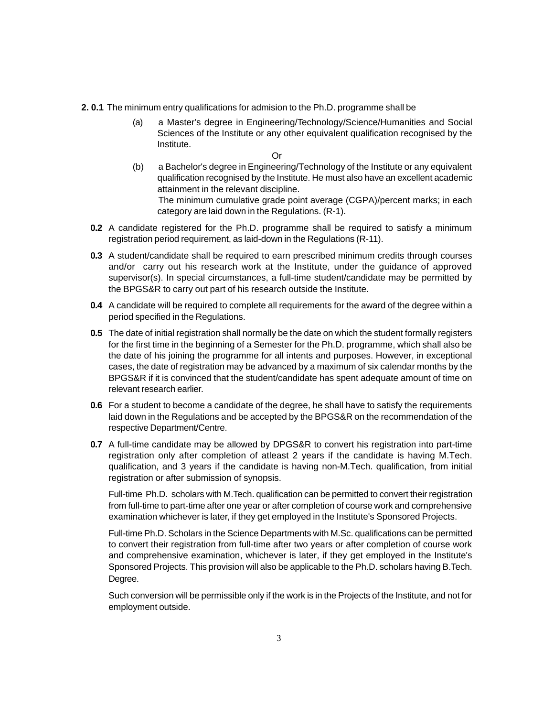- **2. 0.1** The minimum entry qualifications for admision to the Ph.D. programme shall be
	- (a) a Master's degree in Engineering/Technology/Science/Humanities and Social Sciences of the Institute or any other equivalent qualification recognised by the Institute.

Or

(b) a Bachelor's degree in Engineering/Technology of the Institute or any equivalent qualification recognised by the Institute. He must also have an excellent academic attainment in the relevant discipline. The minimum cumulative grade point average (CGPA)/percent marks; in each

category are laid down in the Regulations. (R-1).

- **0.2** A candidate registered for the Ph.D. programme shall be required to satisfy a minimum registration period requirement, as laid-down in the Regulations (R-11).
- **0.3** A student/candidate shall be required to earn prescribed minimum credits through courses and/or carry out his research work at the Institute, under the guidance of approved supervisor(s). In special circumstances, a full-time student/candidate may be permitted by the BPGS&R to carry out part of his research outside the Institute.
- **0.4** A candidate will be required to complete all requirements for the award of the degree within a period specified in the Regulations.
- **0.5** The date of initial registration shall normally be the date on which the student formally registers for the first time in the beginning of a Semester for the Ph.D. programme, which shall also be the date of his joining the programme for all intents and purposes. However, in exceptional cases, the date of registration may be advanced by a maximum of six calendar months by the BPGS&R if it is convinced that the student/candidate has spent adequate amount of time on relevant research earlier.
- **0.6** For a student to become a candidate of the degree, he shall have to satisfy the requirements laid down in the Regulations and be accepted by the BPGS&R on the recommendation of the respective Department/Centre.
- **0.7** A full-time candidate may be allowed by DPGS&R to convert his registration into part-time registration only after completion of atleast 2 years if the candidate is having M.Tech. qualification, and 3 years if the candidate is having non-M.Tech. qualification, from initial registration or after submission of synopsis.

Full-time Ph.D. scholars with M.Tech. qualification can be permitted to convert their registration from full-time to part-time after one year or after completion of course work and comprehensive examination whichever is later, if they get employed in the Institute's Sponsored Projects.

Full-time Ph.D. Scholars in the Science Departments with M.Sc. qualifications can be permitted to convert their registration from full-time after two years or after completion of course work and comprehensive examination, whichever is later, if they get employed in the Institute's Sponsored Projects. This provision will also be applicable to the Ph.D. scholars having B.Tech. Degree.

Such conversion will be permissible only if the work is in the Projects of the Institute, and not for employment outside.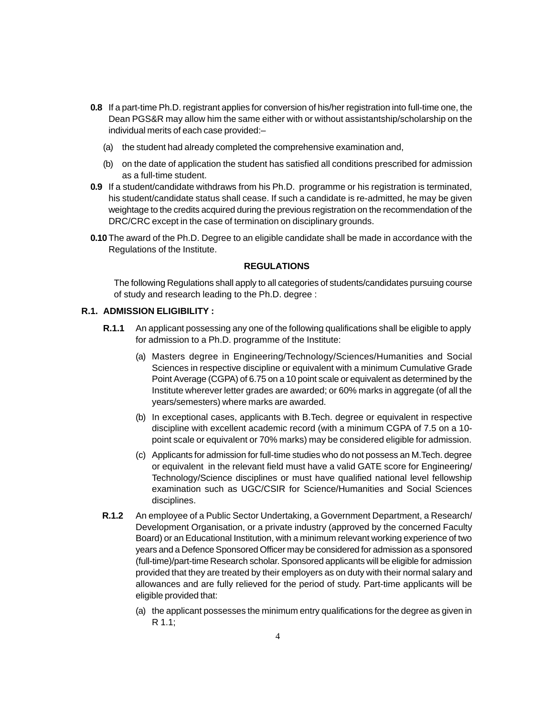- **0.8** If a part-time Ph.D. registrant applies for conversion of his/her registration into full-time one, the Dean PGS&R may allow him the same either with or without assistantship/scholarship on the individual merits of each case provided:–
	- (a) the student had already completed the comprehensive examination and,
	- (b) on the date of application the student has satisfied all conditions prescribed for admission as a full-time student.
- **0.9** If a student/candidate withdraws from his Ph.D. programme or his registration is terminated, his student/candidate status shall cease. If such a candidate is re-admitted, he may be given weightage to the credits acquired during the previous registration on the recommendation of the DRC/CRC except in the case of termination on disciplinary grounds.
- **0.10** The award of the Ph.D. Degree to an eligible candidate shall be made in accordance with the Regulations of the Institute.

#### **REGULATIONS**

The following Regulations shall apply to all categories of students/candidates pursuing course of study and research leading to the Ph.D. degree :

## **R.1. ADMISSION ELIGIBILITY :**

- **R.1.1** An applicant possessing any one of the following qualifications shall be eligible to apply for admission to a Ph.D. programme of the Institute:
	- (a) Masters degree in Engineering/Technology/Sciences/Humanities and Social Sciences in respective discipline or equivalent with a minimum Cumulative Grade Point Average (CGPA) of 6.75 on a 10 point scale or equivalent as determined by the Institute wherever letter grades are awarded; or 60% marks in aggregate (of all the years/semesters) where marks are awarded.
	- (b) In exceptional cases, applicants with B.Tech. degree or equivalent in respective discipline with excellent academic record (with a minimum CGPA of 7.5 on a 10 point scale or equivalent or 70% marks) may be considered eligible for admission.
	- (c) Applicants for admission for full-time studies who do not possess an M.Tech. degree or equivalent in the relevant field must have a valid GATE score for Engineering/ Technology/Science disciplines or must have qualified national level fellowship examination such as UGC/CSIR for Science/Humanities and Social Sciences disciplines.
- **R.1.2** An employee of a Public Sector Undertaking, a Government Department, a Research/ Development Organisation, or a private industry (approved by the concerned Faculty Board) or an Educational Institution, with a minimum relevant working experience of two years and a Defence Sponsored Officer may be considered for admission as a sponsored (full-time)/part-time Research scholar. Sponsored applicants will be eligible for admission provided that they are treated by their employers as on duty with their normal salary and allowances and are fully relieved for the period of study. Part-time applicants will be eligible provided that:
	- (a) the applicant possesses the minimum entry qualifications for the degree as given in R 1.1;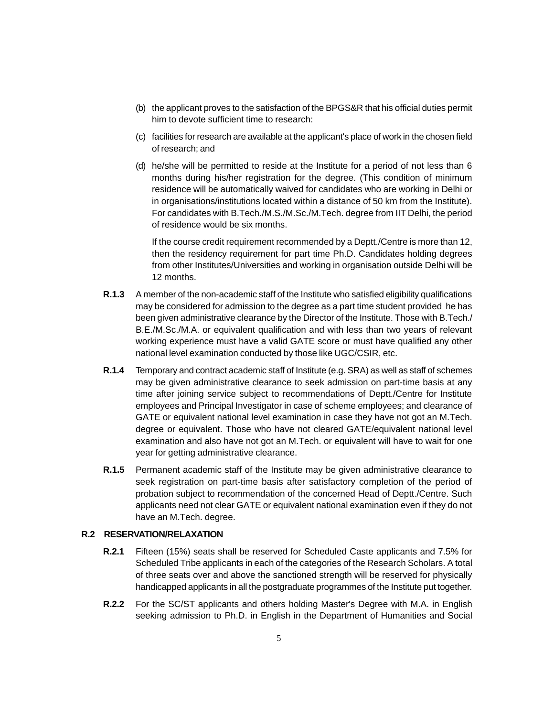- (b) the applicant proves to the satisfaction of the BPGS&R that his official duties permit him to devote sufficient time to research:
- (c) facilities for research are available at the applicant's place of work in the chosen field of research; and
- (d) he/she will be permitted to reside at the Institute for a period of not less than 6 months during his/her registration for the degree. (This condition of minimum residence will be automatically waived for candidates who are working in Delhi or in organisations/institutions located within a distance of 50 km from the Institute). For candidates with B.Tech./M.S./M.Sc./M.Tech. degree from IIT Delhi, the period of residence would be six months.

If the course credit requirement recommended by a Deptt./Centre is more than 12, then the residency requirement for part time Ph.D. Candidates holding degrees from other Institutes/Universities and working in organisation outside Delhi will be 12 months.

- **R.1.3** A member of the non-academic staff of the Institute who satisfied eligibility qualifications may be considered for admission to the degree as a part time student provided he has been given administrative clearance by the Director of the Institute. Those with B.Tech./ B.E./M.Sc./M.A. or equivalent qualification and with less than two years of relevant working experience must have a valid GATE score or must have qualified any other national level examination conducted by those like UGC/CSIR, etc.
- **R.1.4** Temporary and contract academic staff of Institute (e.g. SRA) as well as staff of schemes may be given administrative clearance to seek admission on part-time basis at any time after joining service subject to recommendations of Deptt./Centre for Institute employees and Principal Investigator in case of scheme employees; and clearance of GATE or equivalent national level examination in case they have not got an M.Tech. degree or equivalent. Those who have not cleared GATE/equivalent national level examination and also have not got an M.Tech. or equivalent will have to wait for one year for getting administrative clearance.
- **R.1.5** Permanent academic staff of the Institute may be given administrative clearance to seek registration on part-time basis after satisfactory completion of the period of probation subject to recommendation of the concerned Head of Deptt./Centre. Such applicants need not clear GATE or equivalent national examination even if they do not have an M.Tech. degree.

# **R.2 RESERVATION/RELAXATION**

- **R.2.1** Fifteen (15%) seats shall be reserved for Scheduled Caste applicants and 7.5% for Scheduled Tribe applicants in each of the categories of the Research Scholars. A total of three seats over and above the sanctioned strength will be reserved for physically handicapped applicants in all the postgraduate programmes of the Institute put together.
- **R.2.2** For the SC/ST applicants and others holding Master's Degree with M.A. in English seeking admission to Ph.D. in English in the Department of Humanities and Social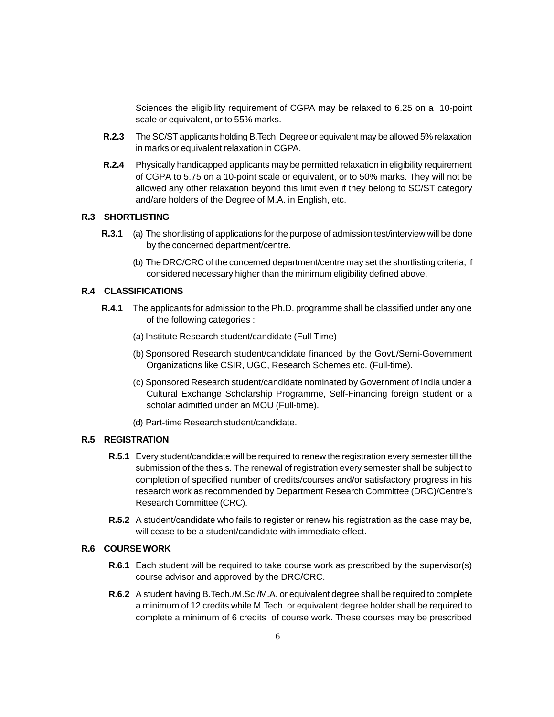Sciences the eligibility requirement of CGPA may be relaxed to 6.25 on a 10-point scale or equivalent, or to 55% marks.

- **R.2.3** The SC/ST applicants holding B.Tech. Degree or equivalent may be allowed 5% relaxation in marks or equivalent relaxation in CGPA.
- **R.2.4** Physically handicapped applicants may be permitted relaxation in eligibility requirement of CGPA to 5.75 on a 10-point scale or equivalent, or to 50% marks. They will not be allowed any other relaxation beyond this limit even if they belong to SC/ST category and/are holders of the Degree of M.A. in English, etc.

#### **R.3 SHORTLISTING**

- **R.3.1** (a) The shortlisting of applications for the purpose of admission test/interview will be done by the concerned department/centre.
	- (b) The DRC/CRC of the concerned department/centre may set the shortlisting criteria, if considered necessary higher than the minimum eligibility defined above.

#### **R.4 CLASSIFICATIONS**

- **R.4.1** The applicants for admission to the Ph.D. programme shall be classified under any one of the following categories :
	- (a) Institute Research student/candidate (Full Time)
	- (b) Sponsored Research student/candidate financed by the Govt./Semi-Government Organizations like CSIR, UGC, Research Schemes etc. (Full-time).
	- (c) Sponsored Research student/candidate nominated by Government of India under a Cultural Exchange Scholarship Programme, Self-Financing foreign student or a scholar admitted under an MOU (Full-time).
	- (d) Part-time Research student/candidate.

## **R.5 REGISTRATION**

- **R.5.1** Every student/candidate will be required to renew the registration every semester till the submission of the thesis. The renewal of registration every semester shall be subject to completion of specified number of credits/courses and/or satisfactory progress in his research work as recommended by Department Research Committee (DRC)/Centre's Research Committee (CRC).
- **R.5.2** A student/candidate who fails to register or renew his registration as the case may be, will cease to be a student/candidate with immediate effect.

# **R.6 COURSE WORK**

- **R.6.1** Each student will be required to take course work as prescribed by the supervisor(s) course advisor and approved by the DRC/CRC.
- **R.6.2** A student having B.Tech./M.Sc./M.A. or equivalent degree shall be required to complete a minimum of 12 credits while M.Tech. or equivalent degree holder shall be required to complete a minimum of 6 credits of course work. These courses may be prescribed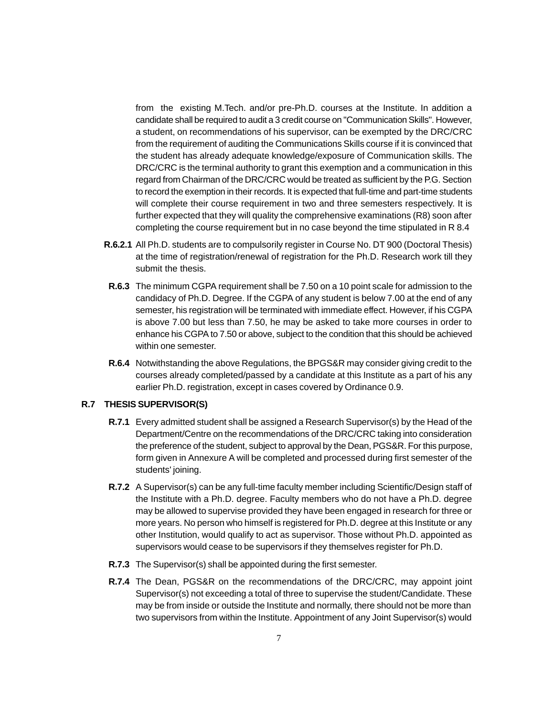from the existing M.Tech. and/or pre-Ph.D. courses at the Institute. In addition a candidate shall be required to audit a 3 credit course on "Communication Skills". However, a student, on recommendations of his supervisor, can be exempted by the DRC/CRC from the requirement of auditing the Communications Skills course if it is convinced that the student has already adequate knowledge/exposure of Communication skills. The DRC/CRC is the terminal authority to grant this exemption and a communication in this regard from Chairman of the DRC/CRC would be treated as sufficient by the P.G. Section to record the exemption in their records. It is expected that full-time and part-time students will complete their course requirement in two and three semesters respectively. It is further expected that they will quality the comprehensive examinations (R8) soon after completing the course requirement but in no case beyond the time stipulated in R 8.4

- **R.6.2.1** All Ph.D. students are to compulsorily register in Course No. DT 900 (Doctoral Thesis) at the time of registration/renewal of registration for the Ph.D. Research work till they submit the thesis.
- **R.6.3** The minimum CGPA requirement shall be 7.50 on a 10 point scale for admission to the candidacy of Ph.D. Degree. If the CGPA of any student is below 7.00 at the end of any semester, his registration will be terminated with immediate effect. However, if his CGPA is above 7.00 but less than 7.50, he may be asked to take more courses in order to enhance his CGPA to 7.50 or above, subject to the condition that this should be achieved within one semester.
- **R.6.4** Notwithstanding the above Regulations, the BPGS&R may consider giving credit to the courses already completed/passed by a candidate at this Institute as a part of his any earlier Ph.D. registration, except in cases covered by Ordinance 0.9.

#### **R.7 THESIS SUPERVISOR(S)**

- **R.7.1** Every admitted student shall be assigned a Research Supervisor(s) by the Head of the Department/Centre on the recommendations of the DRC/CRC taking into consideration the preference of the student, subject to approval by the Dean, PGS&R. For this purpose, form given in Annexure A will be completed and processed during first semester of the students' joining.
- **R.7.2** A Supervisor(s) can be any full-time faculty member including Scientific/Design staff of the Institute with a Ph.D. degree. Faculty members who do not have a Ph.D. degree may be allowed to supervise provided they have been engaged in research for three or more years. No person who himself is registered for Ph.D. degree at this Institute or any other Institution, would qualify to act as supervisor. Those without Ph.D. appointed as supervisors would cease to be supervisors if they themselves register for Ph.D.
- **R.7.3** The Supervisor(s) shall be appointed during the first semester.
- **R.7.4** The Dean, PGS&R on the recommendations of the DRC/CRC, may appoint joint Supervisor(s) not exceeding a total of three to supervise the student/Candidate. These may be from inside or outside the Institute and normally, there should not be more than two supervisors from within the Institute. Appointment of any Joint Supervisor(s) would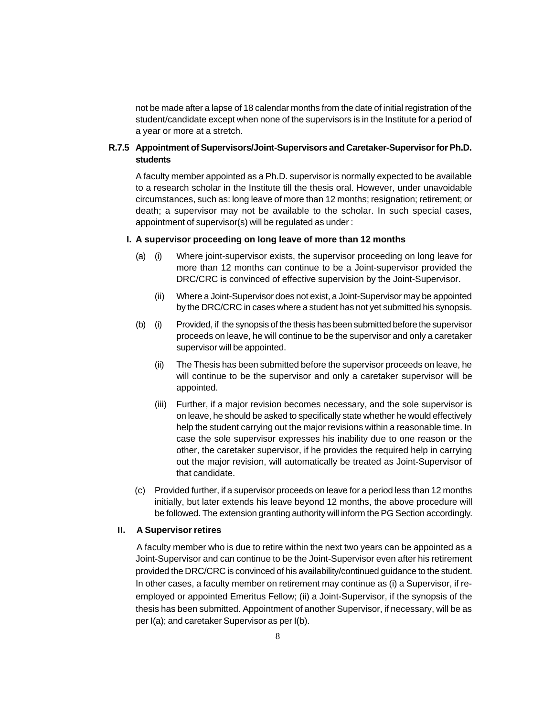not be made after a lapse of 18 calendar months from the date of initial registration of the student/candidate except when none of the supervisors is in the Institute for a period of a year or more at a stretch.

## **R.7.5 Appointment of Supervisors/Joint-Supervisors and Caretaker-Supervisor for Ph.D. students**

A faculty member appointed as a Ph.D. supervisor is normally expected to be available to a research scholar in the Institute till the thesis oral. However, under unavoidable circumstances, such as: long leave of more than 12 months; resignation; retirement; or death; a supervisor may not be available to the scholar. In such special cases, appointment of supervisor(s) will be regulated as under :

#### **I. A supervisor proceeding on long leave of more than 12 months**

- (a) (i) Where joint-supervisor exists, the supervisor proceeding on long leave for more than 12 months can continue to be a Joint-supervisor provided the DRC/CRC is convinced of effective supervision by the Joint-Supervisor.
	- (ii) Where a Joint-Supervisor does not exist, a Joint-Supervisor may be appointed by the DRC/CRC in cases where a student has not yet submitted his synopsis.
- (b) (i) Provided, if the synopsis of the thesis has been submitted before the supervisor proceeds on leave, he will continue to be the supervisor and only a caretaker supervisor will be appointed.
	- (ii) The Thesis has been submitted before the supervisor proceeds on leave, he will continue to be the supervisor and only a caretaker supervisor will be appointed.
	- (iii) Further, if a major revision becomes necessary, and the sole supervisor is on leave, he should be asked to specifically state whether he would effectively help the student carrying out the major revisions within a reasonable time. In case the sole supervisor expresses his inability due to one reason or the other, the caretaker supervisor, if he provides the required help in carrying out the major revision, will automatically be treated as Joint-Supervisor of that candidate.
- (c) Provided further, if a supervisor proceeds on leave for a period less than 12 months initially, but later extends his leave beyond 12 months, the above procedure will be followed. The extension granting authority will inform the PG Section accordingly.

#### **II. A Supervisor retires**

A faculty member who is due to retire within the next two years can be appointed as a Joint-Supervisor and can continue to be the Joint-Supervisor even after his retirement provided the DRC/CRC is convinced of his availability/continued guidance to the student. In other cases, a faculty member on retirement may continue as (i) a Supervisor, if reemployed or appointed Emeritus Fellow; (ii) a Joint-Supervisor, if the synopsis of the thesis has been submitted. Appointment of another Supervisor, if necessary, will be as per I(a); and caretaker Supervisor as per I(b).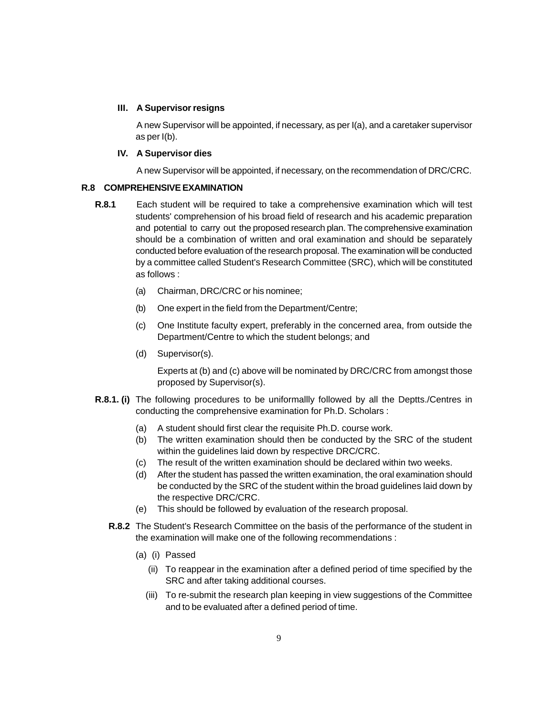#### **III. A Supervisor resigns**

A new Supervisor will be appointed, if necessary, as per I(a), and a caretaker supervisor as per I(b).

#### **IV. A Supervisor dies**

A new Supervisor will be appointed, if necessary, on the recommendation of DRC/CRC.

#### **R.8 COMPREHENSIVE EXAMINATION**

- **R.8.1** Each student will be required to take a comprehensive examination which will test students' comprehension of his broad field of research and his academic preparation and potential to carry out the proposed research plan. The comprehensive examination should be a combination of written and oral examination and should be separately conducted before evaluation of the research proposal. The examination will be conducted by a committee called Student's Research Committee (SRC), which will be constituted as follows :
	- (a) Chairman, DRC/CRC or his nominee;
	- (b) One expert in the field from the Department/Centre;
	- (c) One Institute faculty expert, preferably in the concerned area, from outside the Department/Centre to which the student belongs; and
	- (d) Supervisor(s).

Experts at (b) and (c) above will be nominated by DRC/CRC from amongst those proposed by Supervisor(s).

- **R.8.1. (i)** The following procedures to be uniformallly followed by all the Deptts./Centres in conducting the comprehensive examination for Ph.D. Scholars :
	- (a) A student should first clear the requisite Ph.D. course work.
	- (b) The written examination should then be conducted by the SRC of the student within the guidelines laid down by respective DRC/CRC.
	- (c) The result of the written examination should be declared within two weeks.
	- (d) After the student has passed the written examination, the oral examination should be conducted by the SRC of the student within the broad guidelines laid down by the respective DRC/CRC.
	- (e) This should be followed by evaluation of the research proposal.
	- **R.8.2** The Student's Research Committee on the basis of the performance of the student in the examination will make one of the following recommendations :
		- (a) (i) Passed
			- (ii) To reappear in the examination after a defined period of time specified by the SRC and after taking additional courses.
			- (iii) To re-submit the research plan keeping in view suggestions of the Committee and to be evaluated after a defined period of time.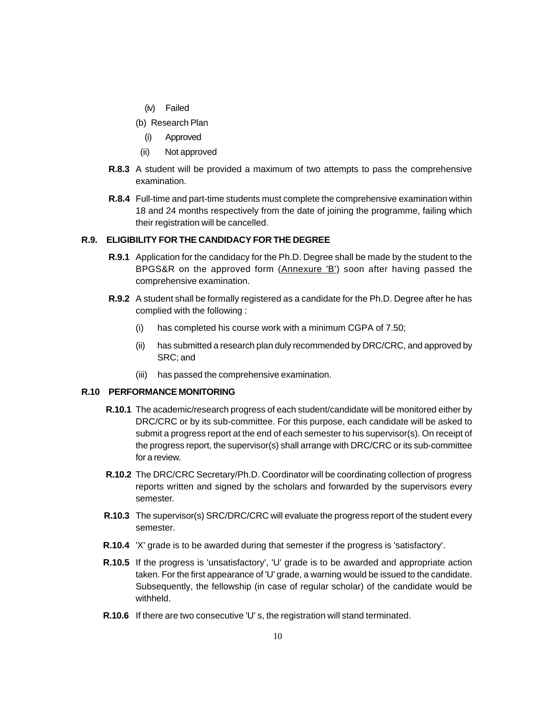- (iv) Failed
- (b) Research Plan
	- (i) Approved
- (ii) Not approved
- **R.8.3** A student will be provided a maximum of two attempts to pass the comprehensive examination.
- **R.8.4** Full-time and part-time students must complete the comprehensive examination within 18 and 24 months respectively from the date of joining the programme, failing which their registration will be cancelled.

# **R.9. ELIGIBILITY FOR THE CANDIDACY FOR THE DEGREE**

- **R.9.1** Application for the candidacy for the Ph.D. Degree shall be made by the student to the BPGS&R on the approved form (Annexure 'B') soon after having passed the comprehensive examination.
- **R.9.2** A student shall be formally registered as a candidate for the Ph.D. Degree after he has complied with the following :
	- (i) has completed his course work with a minimum CGPA of 7.50;
	- (ii) has submitted a research plan duly recommended by DRC/CRC, and approved by SRC; and
	- (iii) has passed the comprehensive examination.

#### **R.10 PERFORMANCE MONITORING**

- **R.10.1** The academic/research progress of each student/candidate will be monitored either by DRC/CRC or by its sub-committee. For this purpose, each candidate will be asked to submit a progress report at the end of each semester to his supervisor(s). On receipt of the progress report, the supervisor(s) shall arrange with DRC/CRC or its sub-committee for a review.
- **R.10.2** The DRC/CRC Secretary/Ph.D. Coordinator will be coordinating collection of progress reports written and signed by the scholars and forwarded by the supervisors every semester.
- **R.10.3** The supervisor(s) SRC/DRC/CRC will evaluate the progress report of the student every semester.
- **R.10.4** 'X' grade is to be awarded during that semester if the progress is 'satisfactory'.
- **R.10.5** If the progress is 'unsatisfactory', 'U' grade is to be awarded and appropriate action taken. For the first appearance of 'U' grade, a warning would be issued to the candidate. Subsequently, the fellowship (in case of regular scholar) of the candidate would be withheld.
- **R.10.6** If there are two consecutive 'U' s, the registration will stand terminated.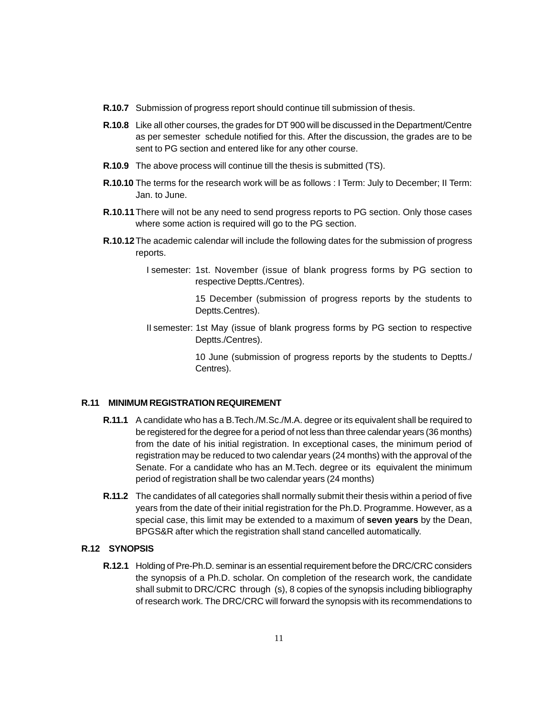- **R.10.7** Submission of progress report should continue till submission of thesis.
- **R.10.8** Like all other courses, the grades for DT 900 will be discussed in the Department/Centre as per semester schedule notified for this. After the discussion, the grades are to be sent to PG section and entered like for any other course.
- **R.10.9** The above process will continue till the thesis is submitted (TS).
- **R.10.10** The terms for the research work will be as follows : I Term: July to December; II Term: Jan. to June.
- **R.10.11**There will not be any need to send progress reports to PG section. Only those cases where some action is required will go to the PG section.
- **R.10.12**The academic calendar will include the following dates for the submission of progress reports.
	- I semester: 1st. November (issue of blank progress forms by PG section to respective Deptts./Centres).

15 December (submission of progress reports by the students to Deptts.Centres).

II semester: 1st May (issue of blank progress forms by PG section to respective Deptts./Centres).

> 10 June (submission of progress reports by the students to Deptts./ Centres).

# **R.11 MINIMUM REGISTRATION REQUIREMENT**

- **R.11.1** A candidate who has a B.Tech./M.Sc./M.A. degree or its equivalent shall be required to be registered for the degree for a period of not less than three calendar years (36 months) from the date of his initial registration. In exceptional cases, the minimum period of registration may be reduced to two calendar years (24 months) with the approval of the Senate. For a candidate who has an M.Tech. degree or its equivalent the minimum period of registration shall be two calendar years (24 months)
- **R.11.2** The candidates of all categories shall normally submit their thesis within a period of five years from the date of their initial registration for the Ph.D. Programme. However, as a special case, this limit may be extended to a maximum of **seven years** by the Dean, BPGS&R after which the registration shall stand cancelled automatically.

# **R.12 SYNOPSIS**

**R.12.1** Holding of Pre-Ph.D. seminar is an essential requirement before the DRC/CRC considers the synopsis of a Ph.D. scholar. On completion of the research work, the candidate shall submit to DRC/CRC through (s), 8 copies of the synopsis including bibliography of research work. The DRC/CRC will forward the synopsis with its recommendations to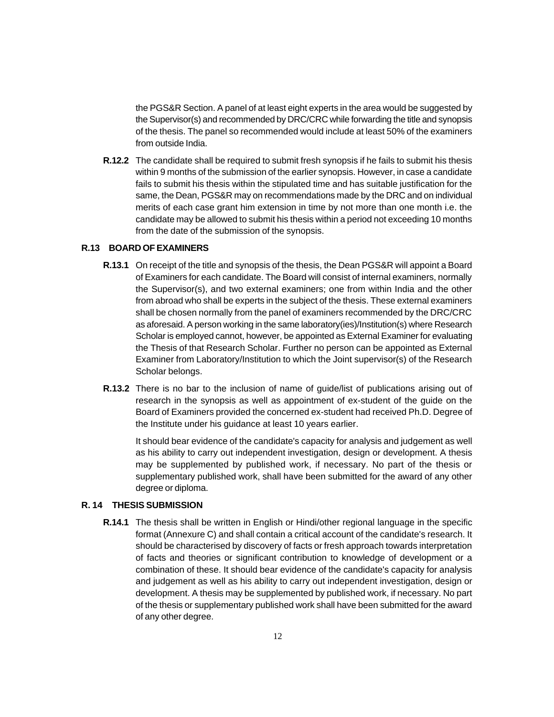the PGS&R Section. A panel of at least eight experts in the area would be suggested by the Supervisor(s) and recommended by DRC/CRC while forwarding the title and synopsis of the thesis. The panel so recommended would include at least 50% of the examiners from outside India.

**R.12.2** The candidate shall be required to submit fresh synopsis if he fails to submit his thesis within 9 months of the submission of the earlier synopsis. However, in case a candidate fails to submit his thesis within the stipulated time and has suitable justification for the same, the Dean, PGS&R may on recommendations made by the DRC and on individual merits of each case grant him extension in time by not more than one month i.e. the candidate may be allowed to submit his thesis within a period not exceeding 10 months from the date of the submission of the synopsis.

#### **R.13 BOARD OF EXAMINERS**

- **R.13.1** On receipt of the title and synopsis of the thesis, the Dean PGS&R will appoint a Board of Examiners for each candidate. The Board will consist of internal examiners, normally the Supervisor(s), and two external examiners; one from within India and the other from abroad who shall be experts in the subject of the thesis. These external examiners shall be chosen normally from the panel of examiners recommended by the DRC/CRC as aforesaid. A person working in the same laboratory(ies)/Institution(s) where Research Scholar is employed cannot, however, be appointed as External Examiner for evaluating the Thesis of that Research Scholar. Further no person can be appointed as External Examiner from Laboratory/Institution to which the Joint supervisor(s) of the Research Scholar belongs.
- **R.13.2** There is no bar to the inclusion of name of guide/list of publications arising out of research in the synopsis as well as appointment of ex-student of the guide on the Board of Examiners provided the concerned ex-student had received Ph.D. Degree of the Institute under his guidance at least 10 years earlier.

It should bear evidence of the candidate's capacity for analysis and judgement as well as his ability to carry out independent investigation, design or development. A thesis may be supplemented by published work, if necessary. No part of the thesis or supplementary published work, shall have been submitted for the award of any other degree or diploma.

# **R. 14 THESIS SUBMISSION**

**R.14.1** The thesis shall be written in English or Hindi/other regional language in the specific format (Annexure C) and shall contain a critical account of the candidate's research. It should be characterised by discovery of facts or fresh approach towards interpretation of facts and theories or significant contribution to knowledge of development or a combination of these. It should bear evidence of the candidate's capacity for analysis and judgement as well as his ability to carry out independent investigation, design or development. A thesis may be supplemented by published work, if necessary. No part of the thesis or supplementary published work shall have been submitted for the award of any other degree.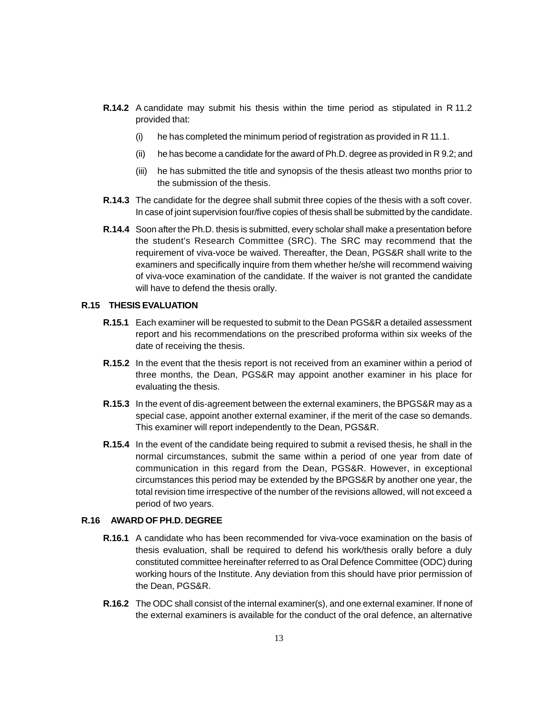- **R.14.2** A candidate may submit his thesis within the time period as stipulated in R 11.2 provided that:
	- (i) he has completed the minimum period of registration as provided in R 11.1.
	- (ii) he has become a candidate for the award of Ph.D. degree as provided in R 9.2; and
	- (iii) he has submitted the title and synopsis of the thesis atleast two months prior to the submission of the thesis.
- **R.14.3** The candidate for the degree shall submit three copies of the thesis with a soft cover. In case of joint supervision four/five copies of thesis shall be submitted by the candidate.
- **R.14.4** Soon after the Ph.D. thesis is submitted, every scholar shall make a presentation before the student's Research Committee (SRC). The SRC may recommend that the requirement of viva-voce be waived. Thereafter, the Dean, PGS&R shall write to the examiners and specifically inquire from them whether he/she will recommend waiving of viva-voce examination of the candidate. If the waiver is not granted the candidate will have to defend the thesis orally.

# **R.15 THESIS EVALUATION**

- **R.15.1** Each examiner will be requested to submit to the Dean PGS&R a detailed assessment report and his recommendations on the prescribed proforma within six weeks of the date of receiving the thesis.
- **R.15.2** In the event that the thesis report is not received from an examiner within a period of three months, the Dean, PGS&R may appoint another examiner in his place for evaluating the thesis.
- **R.15.3** In the event of dis-agreement between the external examiners, the BPGS&R may as a special case, appoint another external examiner, if the merit of the case so demands. This examiner will report independently to the Dean, PGS&R.
- **R.15.4** In the event of the candidate being required to submit a revised thesis, he shall in the normal circumstances, submit the same within a period of one year from date of communication in this regard from the Dean, PGS&R. However, in exceptional circumstances this period may be extended by the BPGS&R by another one year, the total revision time irrespective of the number of the revisions allowed, will not exceed a period of two years.

#### **R.16 AWARD OF PH.D. DEGREE**

- **R.16.1** A candidate who has been recommended for viva-voce examination on the basis of thesis evaluation, shall be required to defend his work/thesis orally before a duly constituted committee hereinafter referred to as Oral Defence Committee (ODC) during working hours of the Institute. Any deviation from this should have prior permission of the Dean, PGS&R.
- **R.16.2** The ODC shall consist of the internal examiner(s), and one external examiner. If none of the external examiners is available for the conduct of the oral defence, an alternative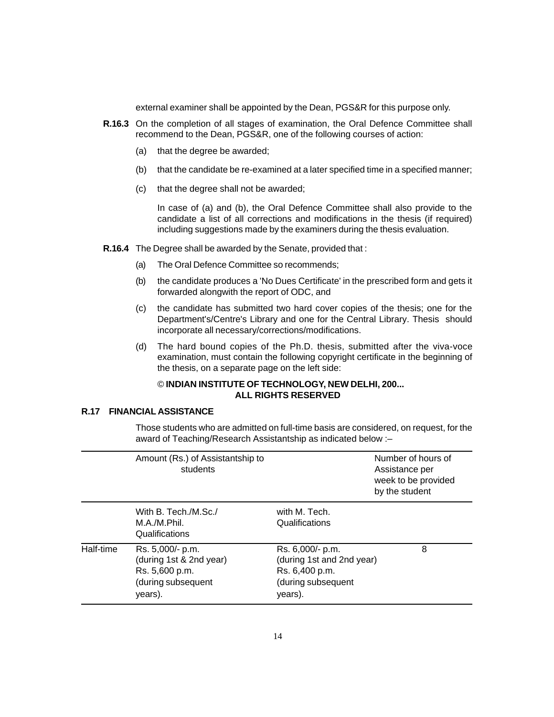external examiner shall be appointed by the Dean, PGS&R for this purpose only.

- **R.16.3** On the completion of all stages of examination, the Oral Defence Committee shall recommend to the Dean, PGS&R, one of the following courses of action:
	- (a) that the degree be awarded;
	- (b) that the candidate be re-examined at a later specified time in a specified manner;
	- (c) that the degree shall not be awarded;

In case of (a) and (b), the Oral Defence Committee shall also provide to the candidate a list of all corrections and modifications in the thesis (if required) including suggestions made by the examiners during the thesis evaluation.

- **R.16.4** The Degree shall be awarded by the Senate, provided that :
	- (a) The Oral Defence Committee so recommends;
	- (b) the candidate produces a 'No Dues Certificate' in the prescribed form and gets it forwarded alongwith the report of ODC, and
	- (c) the candidate has submitted two hard cover copies of the thesis; one for the Department's/Centre's Library and one for the Central Library. Thesis should incorporate all necessary/corrections/modifications.
	- (d) The hard bound copies of the Ph.D. thesis, submitted after the viva-voce examination, must contain the following copyright certificate in the beginning of the thesis, on a separate page on the left side:

# © **INDIAN INSTITUTE OF TECHNOLOGY, NEW DELHI, 200... ALL RIGHTS RESERVED**

## **R.17 FINANCIAL ASSISTANCE**

Those students who are admitted on full-time basis are considered, on request, for the award of Teaching/Research Assistantship as indicated below :–

|           | Amount (Rs.) of Assistantship to<br>students                                                   |                                                                                                  | Number of hours of<br>Assistance per<br>week to be provided<br>by the student |
|-----------|------------------------------------------------------------------------------------------------|--------------------------------------------------------------------------------------------------|-------------------------------------------------------------------------------|
|           | With B. Tech./M.Sc./<br>M.A./M.Phil.<br>Qualifications                                         | with M. Tech.<br>Qualifications                                                                  |                                                                               |
| Half-time | Rs. 5,000/- p.m.<br>(during 1st & 2nd year)<br>Rs. 5,600 p.m.<br>(during subsequent<br>years). | Rs. 6,000/- p.m.<br>(during 1st and 2nd year)<br>Rs. 6,400 p.m.<br>(during subsequent<br>years). | 8                                                                             |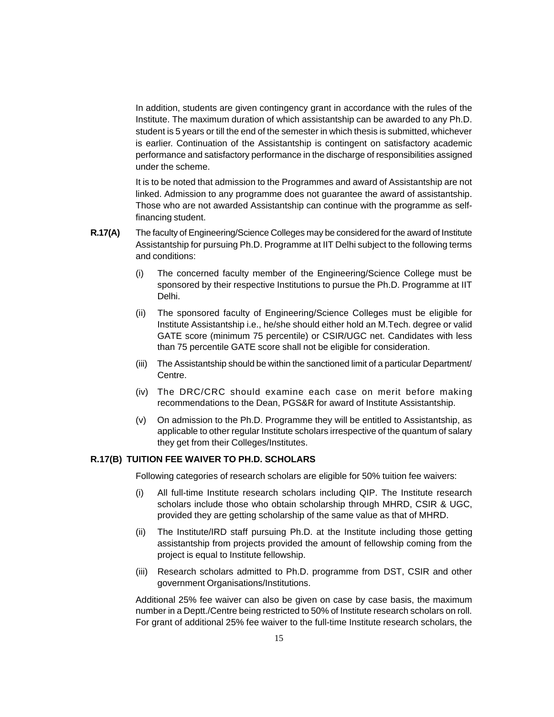In addition, students are given contingency grant in accordance with the rules of the Institute. The maximum duration of which assistantship can be awarded to any Ph.D. student is 5 years or till the end of the semester in which thesis is submitted, whichever is earlier. Continuation of the Assistantship is contingent on satisfactory academic performance and satisfactory performance in the discharge of responsibilities assigned under the scheme.

It is to be noted that admission to the Programmes and award of Assistantship are not linked. Admission to any programme does not guarantee the award of assistantship. Those who are not awarded Assistantship can continue with the programme as selffinancing student.

- **R.17(A)** The faculty of Engineering/Science Colleges may be considered for the award of Institute Assistantship for pursuing Ph.D. Programme at IIT Delhi subject to the following terms and conditions:
	- (i) The concerned faculty member of the Engineering/Science College must be sponsored by their respective Institutions to pursue the Ph.D. Programme at IIT Delhi.
	- (ii) The sponsored faculty of Engineering/Science Colleges must be eligible for Institute Assistantship i.e., he/she should either hold an M.Tech. degree or valid GATE score (minimum 75 percentile) or CSIR/UGC net. Candidates with less than 75 percentile GATE score shall not be eligible for consideration.
	- (iii) The Assistantship should be within the sanctioned limit of a particular Department/ Centre.
	- (iv) The DRC/CRC should examine each case on merit before making recommendations to the Dean, PGS&R for award of Institute Assistantship.
	- (v) On admission to the Ph.D. Programme they will be entitled to Assistantship, as applicable to other regular Institute scholars irrespective of the quantum of salary they get from their Colleges/Institutes.

# **R.17(B) TUITION FEE WAIVER TO PH.D. SCHOLARS**

Following categories of research scholars are eligible for 50% tuition fee waivers:

- (i) All full-time Institute research scholars including QIP. The Institute research scholars include those who obtain scholarship through MHRD, CSIR & UGC, provided they are getting scholarship of the same value as that of MHRD.
- (ii) The Institute/IRD staff pursuing Ph.D. at the Institute including those getting assistantship from projects provided the amount of fellowship coming from the project is equal to Institute fellowship.
- (iii) Research scholars admitted to Ph.D. programme from DST, CSIR and other government Organisations/Institutions.

Additional 25% fee waiver can also be given on case by case basis, the maximum number in a Deptt./Centre being restricted to 50% of Institute research scholars on roll. For grant of additional 25% fee waiver to the full-time Institute research scholars, the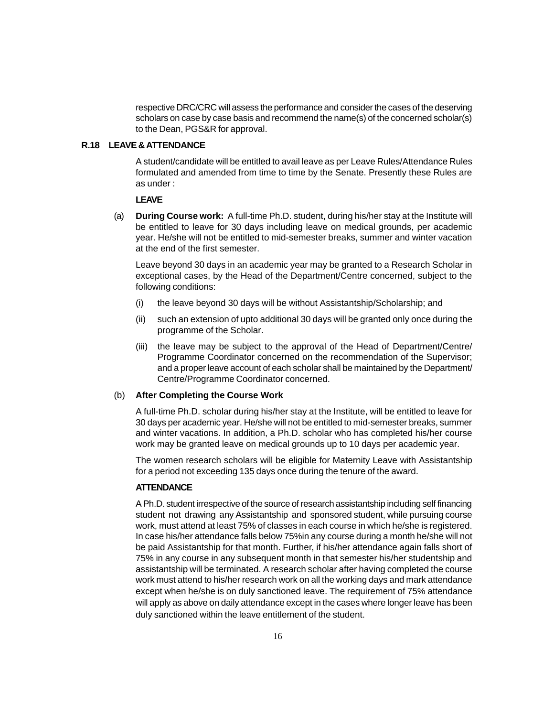respective DRC/CRC will assess the performance and consider the cases of the deserving scholars on case by case basis and recommend the name(s) of the concerned scholar(s) to the Dean, PGS&R for approval.

#### **R.18 LEAVE & ATTENDANCE**

A student/candidate will be entitled to avail leave as per Leave Rules/Attendance Rules formulated and amended from time to time by the Senate. Presently these Rules are as under :

#### **LEAVE**

(a) **During Course work:** A full-time Ph.D. student, during his/her stay at the Institute will be entitled to leave for 30 days including leave on medical grounds, per academic year. He/she will not be entitled to mid-semester breaks, summer and winter vacation at the end of the first semester.

Leave beyond 30 days in an academic year may be granted to a Research Scholar in exceptional cases, by the Head of the Department/Centre concerned, subject to the following conditions:

- (i) the leave beyond 30 days will be without Assistantship/Scholarship; and
- (ii) such an extension of upto additional 30 days will be granted only once during the programme of the Scholar.
- (iii) the leave may be subject to the approval of the Head of Department/Centre/ Programme Coordinator concerned on the recommendation of the Supervisor; and a proper leave account of each scholar shall be maintained by the Department/ Centre/Programme Coordinator concerned.

## (b) **After Completing the Course Work**

A full-time Ph.D. scholar during his/her stay at the Institute, will be entitled to leave for 30 days per academic year. He/she will not be entitled to mid-semester breaks, summer and winter vacations. In addition, a Ph.D. scholar who has completed his/her course work may be granted leave on medical grounds up to 10 days per academic year.

The women research scholars will be eligible for Maternity Leave with Assistantship for a period not exceeding 135 days once during the tenure of the award.

#### **ATTENDANCE**

A Ph.D. student irrespective of the source of research assistantship including self financing student not drawing any Assistantship and sponsored student, while pursuing course work, must attend at least 75% of classes in each course in which he/she is registered. In case his/her attendance falls below 75%in any course during a month he/she will not be paid Assistantship for that month. Further, if his/her attendance again falls short of 75% in any course in any subsequent month in that semester his/her studentship and assistantship will be terminated. A research scholar after having completed the course work must attend to his/her research work on all the working days and mark attendance except when he/she is on duly sanctioned leave. The requirement of 75% attendance will apply as above on daily attendance except in the cases where longer leave has been duly sanctioned within the leave entitlement of the student.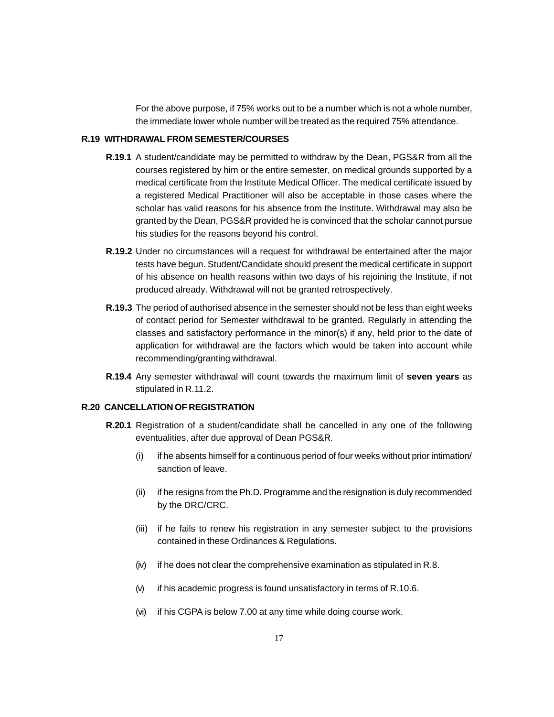For the above purpose, if 75% works out to be a number which is not a whole number, the immediate lower whole number will be treated as the required 75% attendance.

# **R.19 WITHDRAWAL FROM SEMESTER/COURSES**

- **R.19.1** A student/candidate may be permitted to withdraw by the Dean, PGS&R from all the courses registered by him or the entire semester, on medical grounds supported by a medical certificate from the Institute Medical Officer. The medical certificate issued by a registered Medical Practitioner will also be acceptable in those cases where the scholar has valid reasons for his absence from the Institute. Withdrawal may also be granted by the Dean, PGS&R provided he is convinced that the scholar cannot pursue his studies for the reasons beyond his control.
- **R.19.2** Under no circumstances will a request for withdrawal be entertained after the major tests have begun. Student/Candidate should present the medical certificate in support of his absence on health reasons within two days of his rejoining the Institute, if not produced already. Withdrawal will not be granted retrospectively.
- **R.19.3** The period of authorised absence in the semester should not be less than eight weeks of contact period for Semester withdrawal to be granted. Regularly in attending the classes and satisfactory performance in the minor(s) if any, held prior to the date of application for withdrawal are the factors which would be taken into account while recommending/granting withdrawal.
- **R.19.4** Any semester withdrawal will count towards the maximum limit of **seven years** as stipulated in R.11.2.

## **R.20 CANCELLATION OF REGISTRATION**

- **R.20.1** Registration of a student/candidate shall be cancelled in any one of the following eventualities, after due approval of Dean PGS&R.
	- (i) if he absents himself for a continuous period of four weeks without prior intimation/ sanction of leave.
	- (ii) if he resigns from the Ph.D. Programme and the resignation is duly recommended by the DRC/CRC.
	- (iii) if he fails to renew his registration in any semester subject to the provisions contained in these Ordinances & Regulations.
	- (iv) if he does not clear the comprehensive examination as stipulated in R.8.
	- (v) if his academic progress is found unsatisfactory in terms of R.10.6.
	- (vi) if his CGPA is below 7.00 at any time while doing course work.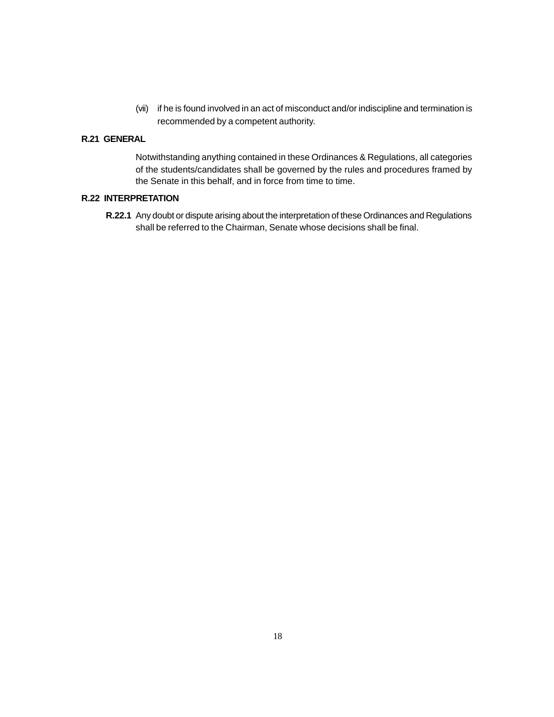(vii) if he is found involved in an act of misconduct and/or indiscipline and termination is recommended by a competent authority.

# **R.21 GENERAL**

Notwithstanding anything contained in these Ordinances & Regulations, all categories of the students/candidates shall be governed by the rules and procedures framed by the Senate in this behalf, and in force from time to time.

# **R.22 INTERPRETATION**

**R.22.1** Any doubt or dispute arising about the interpretation of these Ordinances and Regulations shall be referred to the Chairman, Senate whose decisions shall be final.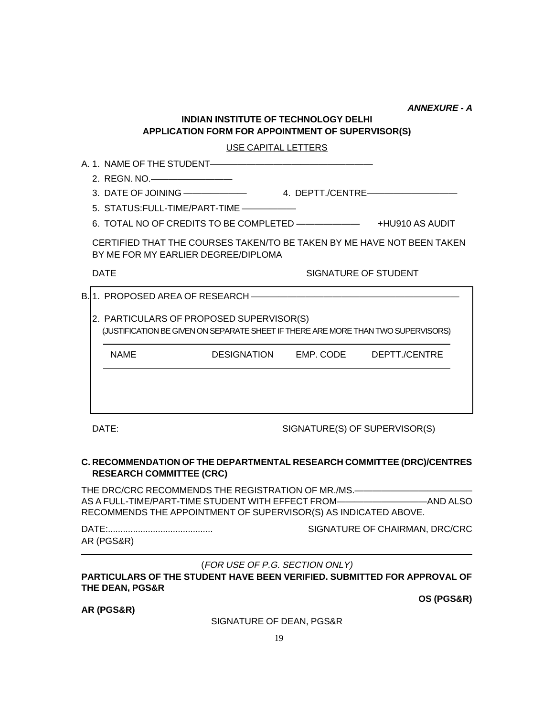**ANNEXURE - A**

# **INDIAN INSTITUTE OF TECHNOLOGY DELHI APPLICATION FORM FOR APPOINTMENT OF SUPERVISOR(S)**

# USE CAPITAL LETTERS

|             | 2. REGN. NO.—————————                                                                                         |                      |                 |
|-------------|---------------------------------------------------------------------------------------------------------------|----------------------|-----------------|
|             |                                                                                                               |                      |                 |
|             | 5. STATUS:FULL-TIME/PART-TIME ——————                                                                          |                      |                 |
|             | 6. TOTAL NO OF CREDITS TO BE COMPLETED ————————                                                               |                      | +HU910 AS AUDIT |
|             | CERTIFIED THAT THE COURSES TAKEN/TO BE TAKEN BY ME HAVE NOT BEEN TAKEN<br>BY ME FOR MY EARLIER DEGREE/DIPLOMA |                      |                 |
| <b>DATE</b> |                                                                                                               | SIGNATURE OF STUDENT |                 |

B. 1. PROPOSED AREA OF RESEARCH ———————

2. PARTICULARS OF PROPOSED SUPERVISOR(S) (JUSTIFICATION BE GIVEN ON SEPARATE SHEET IF THERE ARE MORE THAN TWO SUPERVISORS)

NAME DESIGNATION EMP. CODE DEPTT./CENTRE

DATE: SIGNATURE(S) OF SUPERVISOR(S)

# **C. RECOMMENDATION OF THE DEPARTMENTAL RESEARCH COMMITTEE (DRC)/CENTRES RESEARCH COMMITTEE (CRC)**

THE DRC/CRC RECOMMENDS THE REGISTRATION OF MR./MS.-AS A FULL-TIME/PART-TIME STUDENT WITH EFFECT FROM——————————AND ALSO RECOMMENDS THE APPOINTMENT OF SUPERVISOR(S) AS INDICATED ABOVE.

AR (PGS&R)

DATE:.......................................... SIGNATURE OF CHAIRMAN, DRC/CRC

**OS (PGS&R)**

(FOR USE OF P.G. SECTION ONLY)

**PARTICULARS OF THE STUDENT HAVE BEEN VERIFIED. SUBMITTED FOR APPROVAL OF THE DEAN, PGS&R**

**AR (PGS&R)**

SIGNATURE OF DEAN, PGS&R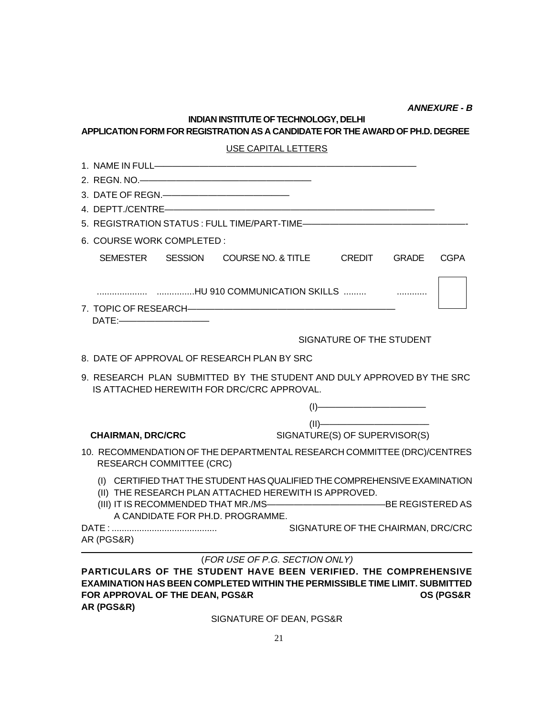**ANNEXURE - B**

# **INDIAN INSTITUTE OF TECHNOLOGY, DELHI APPLICATION FORM FOR REGISTRATION AS A CANDIDATE FOR THE AWARD OF PH.D. DEGREE**

| USE CAPITAL LETTERS                                                                                                                                                                                                                                                                                                                                 |  |  |
|-----------------------------------------------------------------------------------------------------------------------------------------------------------------------------------------------------------------------------------------------------------------------------------------------------------------------------------------------------|--|--|
|                                                                                                                                                                                                                                                                                                                                                     |  |  |
| 2. REGN. NO.————————————————————                                                                                                                                                                                                                                                                                                                    |  |  |
| 3. DATE OF REGN.                                                                                                                                                                                                                                                                                                                                    |  |  |
|                                                                                                                                                                                                                                                                                                                                                     |  |  |
|                                                                                                                                                                                                                                                                                                                                                     |  |  |
| 6. COURSE WORK COMPLETED :                                                                                                                                                                                                                                                                                                                          |  |  |
| SEMESTER SESSION COURSE NO. & TITLE CREDIT GRADE<br><b>CGPA</b>                                                                                                                                                                                                                                                                                     |  |  |
| HU 910 COMMUNICATION SKILLS                                                                                                                                                                                                                                                                                                                         |  |  |
|                                                                                                                                                                                                                                                                                                                                                     |  |  |
| SIGNATURE OF THE STUDENT                                                                                                                                                                                                                                                                                                                            |  |  |
| 8. DATE OF APPROVAL OF RESEARCH PLAN BY SRC                                                                                                                                                                                                                                                                                                         |  |  |
| 9. RESEARCH PLAN SUBMITTED BY THE STUDENT AND DULY APPROVED BY THE SRC<br>IS ATTACHED HEREWITH FOR DRC/CRC APPROVAL.                                                                                                                                                                                                                                |  |  |
| $\begin{picture}(15,10) \put(0,0){\line(1,0){10}} \put(15,0){\line(1,0){10}} \put(15,0){\line(1,0){10}} \put(15,0){\line(1,0){10}} \put(15,0){\line(1,0){10}} \put(15,0){\line(1,0){10}} \put(15,0){\line(1,0){10}} \put(15,0){\line(1,0){10}} \put(15,0){\line(1,0){10}} \put(15,0){\line(1,0){10}} \put(15,0){\line(1,0){10}} \put(15,0){\line(1$ |  |  |
| (II)                                                                                                                                                                                                                                                                                                                                                |  |  |
| SIGNATURE(S) OF SUPERVISOR(S)<br><b>CHAIRMAN, DRC/CRC</b>                                                                                                                                                                                                                                                                                           |  |  |
| 10. RECOMMENDATION OF THE DEPARTMENTAL RESEARCH COMMITTEE (DRC)/CENTRES<br><b>RESEARCH COMMITTEE (CRC)</b>                                                                                                                                                                                                                                          |  |  |
| (I) CERTIFIED THAT THE STUDENT HAS QUALIFIED THE COMPREHENSIVE EXAMINATION<br>(II) THE RESEARCH PLAN ATTACHED HEREWITH IS APPROVED.                                                                                                                                                                                                                 |  |  |
| A CANDIDATE FOR PH.D. PROGRAMME.                                                                                                                                                                                                                                                                                                                    |  |  |
| SIGNATURE OF THE CHAIRMAN, DRC/CRC<br>AR (PGS&R)                                                                                                                                                                                                                                                                                                    |  |  |

(FOR USE OF P.G. SECTION ONLY) **PARTICULARS OF THE STUDENT HAVE BEEN VERIFIED. THE COMPREHENSIVE EXAMINATION HAS BEEN COMPLETED WITHIN THE PERMISSIBLE TIME LIMIT. SUBMITTED FOR APPROVAL OF THE DEAN, PGS&R OS (PGS&R AR (PGS&R)**

SIGNATURE OF DEAN, PGS&R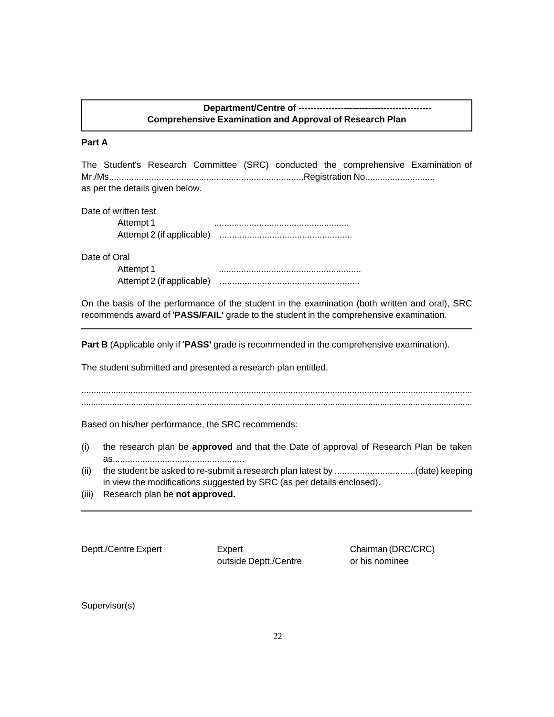# Department/Centre of --------**Comprehensive Examination and Approval of Research Plan**

#### **Part A**

The Student's Research Committee (SRC) conducted the comprehensive Examination of Mr./Ms..............................................................................Registration No............................ as per the details given below.

| Date of written test |  |
|----------------------|--|
| $1+6$ m $+4$         |  |

Attempt 1 ...................................................... Attempt 2 (if applicable) .....................................................

Date of Oral

| Attempt 1                 |  |
|---------------------------|--|
| Attempt 2 (if applicable) |  |

On the basis of the performance of the student in the examination (both written and oral), SRC recommends award of '**PASS/FAIL'** grade to the student in the comprehensive examination.

**Part B** (Applicable only if '**PASS'** grade is recommended in the comprehensive examination).

The student submitted and presented a research plan entitled,

............................................................................................................................................................... .....................................................................................................................................................................

Based on his/her performance, the SRC recommends:

- (i) the research plan be **approved** and that the Date of approval of Research Plan be taken as.....................................................
- (ii) the student be asked to re-submit a research plan latest by ................................(date) keeping in view the modifications suggested by SRC (as per details enclosed).
- (iii) Research plan be **not approved.**

Deptt./Centre Expert Expert Chairman (DRC/CRC) outside Deptt./Centre or his nominee

Supervisor(s)